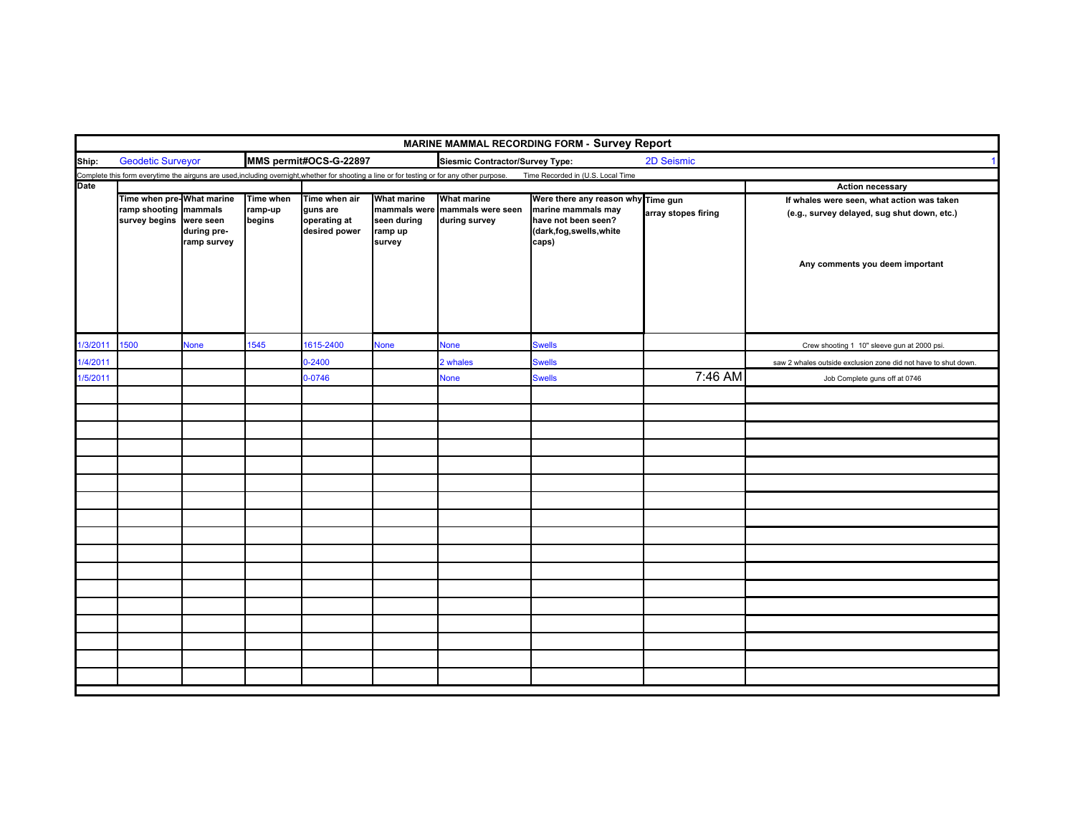|             | MARINE MAMMAL RECORDING FORM - Survey Report |                                                                               |                   |                                           |                                                  |                                                                                                                                              |                                                                              |                         |                                                                                           |  |  |  |
|-------------|----------------------------------------------|-------------------------------------------------------------------------------|-------------------|-------------------------------------------|--------------------------------------------------|----------------------------------------------------------------------------------------------------------------------------------------------|------------------------------------------------------------------------------|-------------------------|-------------------------------------------------------------------------------------------|--|--|--|
| Ship:       | <b>Geodetic Surveyor</b>                     |                                                                               |                   | MMS permit#OCS-G-22897                    |                                                  | Siesmic Contractor/Survey Type:                                                                                                              |                                                                              |                         |                                                                                           |  |  |  |
|             |                                              |                                                                               |                   |                                           |                                                  | Complete this form everytime the airguns are used, including overnight, whether for shooting a line or for testing or for any other purpose. | Time Recorded in (U.S. Local Time                                            |                         |                                                                                           |  |  |  |
| <b>Date</b> |                                              | Time when pre-What marine<br>Time when<br>Time when air<br><b>What marine</b> |                   |                                           |                                                  | <b>What marine</b>                                                                                                                           | Were there any reason why Time gun                                           | <b>Action necessary</b> |                                                                                           |  |  |  |
|             | ramp shooting mammals<br>survey begins       | were seen<br>during pre-<br>ramp survey                                       | ramp-up<br>begins | guns are<br>operating at<br>desired power | mammals were<br>seen during<br>ramp up<br>survey | mammals were seen<br>during survey                                                                                                           | marine mammals may<br>have not been seen?<br>(dark,fog,swells,white<br>caps) | array stopes firing     | If whales were seen, what action was taken<br>(e.g., survey delayed, sug shut down, etc.) |  |  |  |
|             |                                              |                                                                               |                   |                                           |                                                  |                                                                                                                                              |                                                                              |                         | Any comments you deem important                                                           |  |  |  |
| 1/3/2011    | 1500                                         | <b>None</b>                                                                   | 1545              | 1615-2400                                 | <b>None</b>                                      | None                                                                                                                                         | <b>Swells</b>                                                                |                         | Crew shooting 1 10" sleeve gun at 2000 psi.                                               |  |  |  |
| 1/4/2011    |                                              |                                                                               |                   | $0 - 2400$                                |                                                  | 2 whales                                                                                                                                     | <b>Swells</b>                                                                |                         | saw 2 whales outside exclusion zone did not have to shut down.                            |  |  |  |
| 1/5/2011    |                                              |                                                                               |                   | $0 - 0746$                                |                                                  | <b>None</b>                                                                                                                                  | <b>Swells</b>                                                                | 7:46 AM                 | Job Complete guns off at 0746                                                             |  |  |  |
|             |                                              |                                                                               |                   |                                           |                                                  |                                                                                                                                              |                                                                              |                         |                                                                                           |  |  |  |
|             |                                              |                                                                               |                   |                                           |                                                  |                                                                                                                                              |                                                                              |                         |                                                                                           |  |  |  |
|             |                                              |                                                                               |                   |                                           |                                                  |                                                                                                                                              |                                                                              |                         |                                                                                           |  |  |  |
|             |                                              |                                                                               |                   |                                           |                                                  |                                                                                                                                              |                                                                              |                         |                                                                                           |  |  |  |
|             |                                              |                                                                               |                   |                                           |                                                  |                                                                                                                                              |                                                                              |                         |                                                                                           |  |  |  |
|             |                                              |                                                                               |                   |                                           |                                                  |                                                                                                                                              |                                                                              |                         |                                                                                           |  |  |  |
|             |                                              |                                                                               |                   |                                           |                                                  |                                                                                                                                              |                                                                              |                         |                                                                                           |  |  |  |
|             |                                              |                                                                               |                   |                                           |                                                  |                                                                                                                                              |                                                                              |                         |                                                                                           |  |  |  |
|             |                                              |                                                                               |                   |                                           |                                                  |                                                                                                                                              |                                                                              |                         |                                                                                           |  |  |  |
|             |                                              |                                                                               |                   |                                           |                                                  |                                                                                                                                              |                                                                              |                         |                                                                                           |  |  |  |
|             |                                              |                                                                               |                   |                                           |                                                  |                                                                                                                                              |                                                                              |                         |                                                                                           |  |  |  |
|             |                                              |                                                                               |                   |                                           |                                                  |                                                                                                                                              |                                                                              |                         |                                                                                           |  |  |  |
|             |                                              |                                                                               |                   |                                           |                                                  |                                                                                                                                              |                                                                              |                         |                                                                                           |  |  |  |
|             |                                              |                                                                               |                   |                                           |                                                  |                                                                                                                                              |                                                                              |                         |                                                                                           |  |  |  |
|             |                                              |                                                                               |                   |                                           |                                                  |                                                                                                                                              |                                                                              |                         |                                                                                           |  |  |  |
|             |                                              |                                                                               |                   |                                           |                                                  |                                                                                                                                              |                                                                              |                         |                                                                                           |  |  |  |
|             |                                              |                                                                               |                   |                                           |                                                  |                                                                                                                                              |                                                                              |                         |                                                                                           |  |  |  |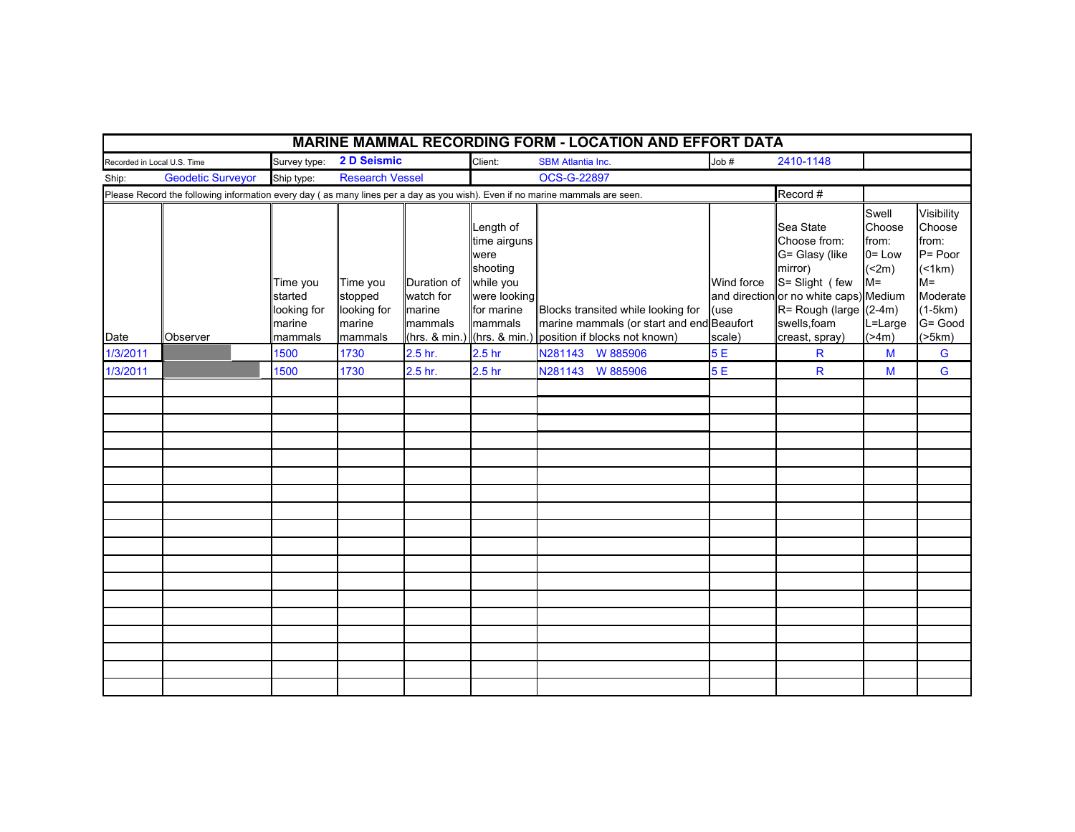| <b>MARINE MAMMAL RECORDING FORM - LOCATION AND EFFORT DATA</b> |                                                                                                                              |                                                         |                                                         |                                                                |                                                                                                                      |                                                                                                                  |                              |                                                                                                                                                                                          |                                                                            |                                                                                                         |  |
|----------------------------------------------------------------|------------------------------------------------------------------------------------------------------------------------------|---------------------------------------------------------|---------------------------------------------------------|----------------------------------------------------------------|----------------------------------------------------------------------------------------------------------------------|------------------------------------------------------------------------------------------------------------------|------------------------------|------------------------------------------------------------------------------------------------------------------------------------------------------------------------------------------|----------------------------------------------------------------------------|---------------------------------------------------------------------------------------------------------|--|
| Recorded in Local U.S. Time                                    |                                                                                                                              | Survey type:                                            | 2 D Seismic                                             |                                                                | Client:                                                                                                              | <b>SBM Atlantia Inc.</b>                                                                                         | Job#                         | 2410-1148                                                                                                                                                                                |                                                                            |                                                                                                         |  |
| <b>Geodetic Surveyor</b><br>Ship:                              |                                                                                                                              | Ship type:                                              | <b>Research Vessel</b>                                  |                                                                |                                                                                                                      | OCS-G-22897                                                                                                      |                              |                                                                                                                                                                                          |                                                                            |                                                                                                         |  |
|                                                                | Please Record the following information every day (as many lines per a day as you wish). Even if no marine mammals are seen. |                                                         |                                                         |                                                                |                                                                                                                      |                                                                                                                  |                              | Record #                                                                                                                                                                                 |                                                                            |                                                                                                         |  |
| Date                                                           | Observer                                                                                                                     | Time you<br>started<br>looking for<br>marine<br>mammals | Time you<br>stopped<br>looking for<br>marine<br>mammals | Duration of<br>watch for<br>marine<br>mammals<br>(hrs. & min.) | Length of<br>time airguns<br>were<br>shooting<br>while you<br>were looking<br>for marine<br>mammals<br>(hrs. & min.) | Blocks transited while looking for<br>marine mammals (or start and end Beaufort<br>position if blocks not known) | Wind force<br>(use<br>scale) | Sea State<br>Choose from:<br>G= Glasy (like<br>mirror)<br>S= Slight (few<br>and directionor no white caps) Medium<br>$R = \text{Rough (large } (2-4m)$<br>swells, foam<br>creast, spray) | Swell<br>Choose<br>from:<br>$0 = Low$<br>(2m)<br>$M =$<br>L=Large<br>(>4m) | Visibility<br>Choose<br>from:<br>$P = Poor$<br>(<br>$M =$<br>Moderate<br>$(1-5km)$<br>G= Good<br>(>5km) |  |
| 1/3/2011                                                       |                                                                                                                              | 1500                                                    | 1730                                                    | 2.5 <sub>hr.</sub>                                             | 2.5 <sub>hr</sub>                                                                                                    | N281143 W 885906                                                                                                 | 5E                           | R                                                                                                                                                                                        | M                                                                          | G                                                                                                       |  |
| 1/3/2011                                                       |                                                                                                                              | 1500                                                    | 1730                                                    | 2.5 hr.                                                        | 2.5 <sub>hr</sub>                                                                                                    | N281143 W 885906                                                                                                 | 5E                           | R                                                                                                                                                                                        | M                                                                          | G                                                                                                       |  |
|                                                                |                                                                                                                              |                                                         |                                                         |                                                                |                                                                                                                      |                                                                                                                  |                              |                                                                                                                                                                                          |                                                                            |                                                                                                         |  |
|                                                                |                                                                                                                              |                                                         |                                                         |                                                                |                                                                                                                      |                                                                                                                  |                              |                                                                                                                                                                                          |                                                                            |                                                                                                         |  |
|                                                                |                                                                                                                              |                                                         |                                                         |                                                                |                                                                                                                      |                                                                                                                  |                              |                                                                                                                                                                                          |                                                                            |                                                                                                         |  |
|                                                                |                                                                                                                              |                                                         |                                                         |                                                                |                                                                                                                      |                                                                                                                  |                              |                                                                                                                                                                                          |                                                                            |                                                                                                         |  |
|                                                                |                                                                                                                              |                                                         |                                                         |                                                                |                                                                                                                      |                                                                                                                  |                              |                                                                                                                                                                                          |                                                                            |                                                                                                         |  |
|                                                                |                                                                                                                              |                                                         |                                                         |                                                                |                                                                                                                      |                                                                                                                  |                              |                                                                                                                                                                                          |                                                                            |                                                                                                         |  |
|                                                                |                                                                                                                              |                                                         |                                                         |                                                                |                                                                                                                      |                                                                                                                  |                              |                                                                                                                                                                                          |                                                                            |                                                                                                         |  |
|                                                                |                                                                                                                              |                                                         |                                                         |                                                                |                                                                                                                      |                                                                                                                  |                              |                                                                                                                                                                                          |                                                                            |                                                                                                         |  |
|                                                                |                                                                                                                              |                                                         |                                                         |                                                                |                                                                                                                      |                                                                                                                  |                              |                                                                                                                                                                                          |                                                                            |                                                                                                         |  |
|                                                                |                                                                                                                              |                                                         |                                                         |                                                                |                                                                                                                      |                                                                                                                  |                              |                                                                                                                                                                                          |                                                                            |                                                                                                         |  |
|                                                                |                                                                                                                              |                                                         |                                                         |                                                                |                                                                                                                      |                                                                                                                  |                              |                                                                                                                                                                                          |                                                                            |                                                                                                         |  |
|                                                                |                                                                                                                              |                                                         |                                                         |                                                                |                                                                                                                      |                                                                                                                  |                              |                                                                                                                                                                                          |                                                                            |                                                                                                         |  |
|                                                                |                                                                                                                              |                                                         |                                                         |                                                                |                                                                                                                      |                                                                                                                  |                              |                                                                                                                                                                                          |                                                                            |                                                                                                         |  |
|                                                                |                                                                                                                              |                                                         |                                                         |                                                                |                                                                                                                      |                                                                                                                  |                              |                                                                                                                                                                                          |                                                                            |                                                                                                         |  |
|                                                                |                                                                                                                              |                                                         |                                                         |                                                                |                                                                                                                      |                                                                                                                  |                              |                                                                                                                                                                                          |                                                                            |                                                                                                         |  |
|                                                                |                                                                                                                              |                                                         |                                                         |                                                                |                                                                                                                      |                                                                                                                  |                              |                                                                                                                                                                                          |                                                                            |                                                                                                         |  |
|                                                                |                                                                                                                              |                                                         |                                                         |                                                                |                                                                                                                      |                                                                                                                  |                              |                                                                                                                                                                                          |                                                                            |                                                                                                         |  |
|                                                                |                                                                                                                              |                                                         |                                                         |                                                                |                                                                                                                      |                                                                                                                  |                              |                                                                                                                                                                                          |                                                                            |                                                                                                         |  |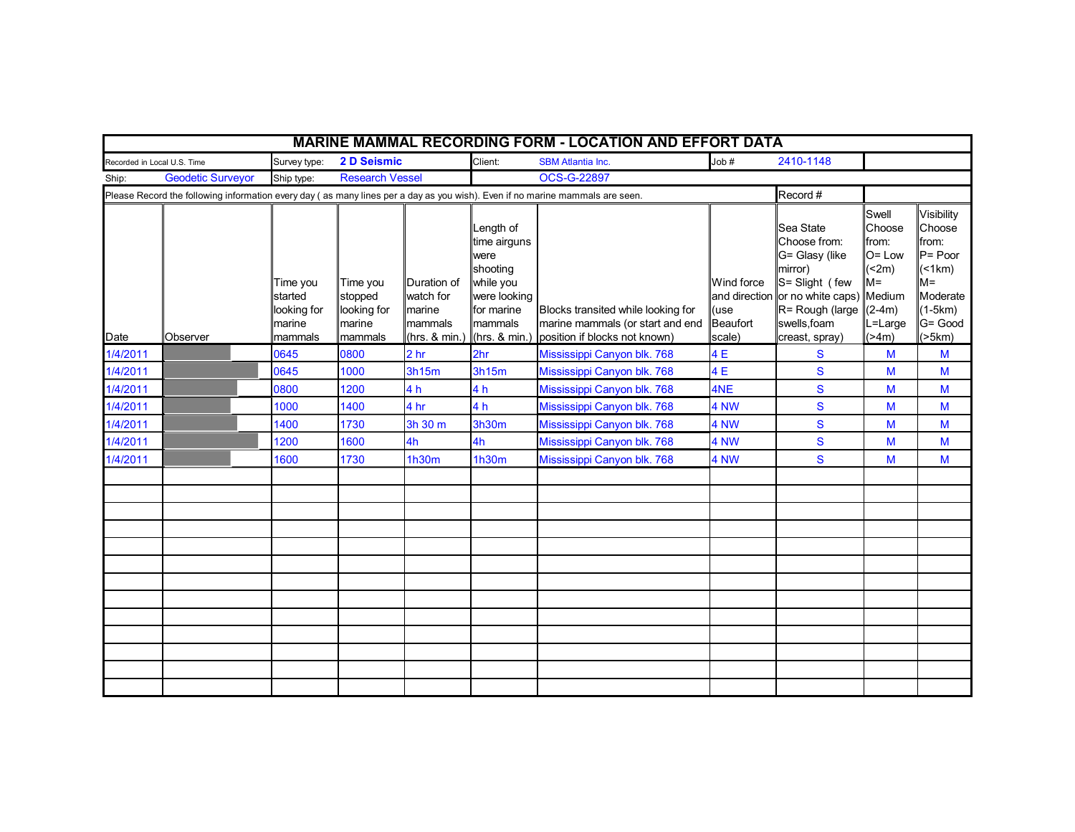|                                                                                                                              |                          |                                                         |                                                         |                                                                |                                                                                                                      | <b>MARINE MAMMAL RECORDING FORM - LOCATION AND EFFORT DATA</b>                                                   |                              |                                                                                                                                                                                       |                                                                            |                                                                                                         |
|------------------------------------------------------------------------------------------------------------------------------|--------------------------|---------------------------------------------------------|---------------------------------------------------------|----------------------------------------------------------------|----------------------------------------------------------------------------------------------------------------------|------------------------------------------------------------------------------------------------------------------|------------------------------|---------------------------------------------------------------------------------------------------------------------------------------------------------------------------------------|----------------------------------------------------------------------------|---------------------------------------------------------------------------------------------------------|
| Recorded in Local U.S. Time                                                                                                  |                          | Survey type:                                            | 2 D Seismic                                             |                                                                | Client:                                                                                                              | <b>SBM Atlantia Inc.</b>                                                                                         | Job #                        | 2410-1148                                                                                                                                                                             |                                                                            |                                                                                                         |
| Ship:                                                                                                                        | <b>Geodetic Surveyor</b> | Ship type:                                              | <b>Research Vessel</b>                                  |                                                                |                                                                                                                      | OCS-G-22897                                                                                                      |                              |                                                                                                                                                                                       |                                                                            |                                                                                                         |
| Please Record the following information every day (as many lines per a day as you wish). Even if no marine mammals are seen. |                          |                                                         |                                                         |                                                                |                                                                                                                      |                                                                                                                  |                              | Record #                                                                                                                                                                              |                                                                            |                                                                                                         |
| Date                                                                                                                         | Observer                 | Time you<br>started<br>looking for<br>marine<br>mammals | Time you<br>stopped<br>looking for<br>marine<br>mammals | Duration of<br>watch for<br>marine<br>mammals<br>(hrs. & min.) | Length of<br>time airguns<br>were<br>shooting<br>while you<br>were looking<br>for marine<br>mammals<br>(hrs. & min.) | Blocks transited while looking for<br>marine mammals (or start and end Beaufort<br>position if blocks not known) | Wind force<br>(use<br>scale) | Sea State<br>Choose from:<br>G= Glasy (like<br>mirror)<br>S= Slight (few<br>and direction or no white caps) Medium<br>$R =$ Rough (large $(2-4m)$ )<br>swells, foam<br>creast, spray) | Swell<br>Choose<br>from:<br>$O = Low$<br>(2m)<br>$M =$<br>L=Large<br>(>4m) | Visibility<br>Choose<br>from:<br>$P = Poor$<br>(<br>$M =$<br>Moderate<br>$(1-5km)$<br>G= Good<br>(>5km) |
| 1/4/2011                                                                                                                     |                          | 0645                                                    | 0800                                                    | 2 <sub>hr</sub>                                                | 2hr                                                                                                                  | Mississippi Canyon blk. 768                                                                                      | 4E                           | S                                                                                                                                                                                     | M                                                                          | M                                                                                                       |
| 1/4/2011                                                                                                                     |                          | 0645                                                    | 1000                                                    | 3h15m                                                          | 3h15m                                                                                                                | Mississippi Canyon blk. 768                                                                                      | 4E                           | ${\mathbf S}$                                                                                                                                                                         | M                                                                          | M                                                                                                       |
| 1/4/2011                                                                                                                     |                          | 0800                                                    | 1200                                                    | 4 h                                                            | 4 h                                                                                                                  | Mississippi Canyon blk. 768                                                                                      | 4NE                          | S                                                                                                                                                                                     | M                                                                          | M                                                                                                       |
| 1/4/2011                                                                                                                     |                          | 1000                                                    | 1400                                                    | 4 hr                                                           | 4 <sub>h</sub>                                                                                                       | Mississippi Canyon blk. 768                                                                                      | 4 NW                         | S                                                                                                                                                                                     | M                                                                          | M                                                                                                       |
| 1/4/2011                                                                                                                     |                          | 1400                                                    | 1730                                                    | 3h 30 m                                                        | 3h30m                                                                                                                | Mississippi Canyon blk. 768                                                                                      | 4 NW                         | S                                                                                                                                                                                     | M                                                                          | M                                                                                                       |
| 1/4/2011                                                                                                                     |                          | 1200                                                    | 1600                                                    | 4h                                                             | 4h                                                                                                                   | Mississippi Canyon blk. 768                                                                                      | 4 NW                         | $\mathbf{s}$                                                                                                                                                                          | M                                                                          | M                                                                                                       |
| 1/4/2011                                                                                                                     |                          | 1600                                                    | 1730                                                    | 1h30m                                                          | 1h30m                                                                                                                | Mississippi Canyon blk. 768                                                                                      | 4 NW                         | S                                                                                                                                                                                     | M                                                                          | M                                                                                                       |
|                                                                                                                              |                          |                                                         |                                                         |                                                                |                                                                                                                      |                                                                                                                  |                              |                                                                                                                                                                                       |                                                                            |                                                                                                         |
|                                                                                                                              |                          |                                                         |                                                         |                                                                |                                                                                                                      |                                                                                                                  |                              |                                                                                                                                                                                       |                                                                            |                                                                                                         |
|                                                                                                                              |                          |                                                         |                                                         |                                                                |                                                                                                                      |                                                                                                                  |                              |                                                                                                                                                                                       |                                                                            |                                                                                                         |
|                                                                                                                              |                          |                                                         |                                                         |                                                                |                                                                                                                      |                                                                                                                  |                              |                                                                                                                                                                                       |                                                                            |                                                                                                         |
|                                                                                                                              |                          |                                                         |                                                         |                                                                |                                                                                                                      |                                                                                                                  |                              |                                                                                                                                                                                       |                                                                            |                                                                                                         |
|                                                                                                                              |                          |                                                         |                                                         |                                                                |                                                                                                                      |                                                                                                                  |                              |                                                                                                                                                                                       |                                                                            |                                                                                                         |
|                                                                                                                              |                          |                                                         |                                                         |                                                                |                                                                                                                      |                                                                                                                  |                              |                                                                                                                                                                                       |                                                                            |                                                                                                         |
|                                                                                                                              |                          |                                                         |                                                         |                                                                |                                                                                                                      |                                                                                                                  |                              |                                                                                                                                                                                       |                                                                            |                                                                                                         |
|                                                                                                                              |                          |                                                         |                                                         |                                                                |                                                                                                                      |                                                                                                                  |                              |                                                                                                                                                                                       |                                                                            |                                                                                                         |
|                                                                                                                              |                          |                                                         |                                                         |                                                                |                                                                                                                      |                                                                                                                  |                              |                                                                                                                                                                                       |                                                                            |                                                                                                         |
|                                                                                                                              |                          |                                                         |                                                         |                                                                |                                                                                                                      |                                                                                                                  |                              |                                                                                                                                                                                       |                                                                            |                                                                                                         |
|                                                                                                                              |                          |                                                         |                                                         |                                                                |                                                                                                                      |                                                                                                                  |                              |                                                                                                                                                                                       |                                                                            |                                                                                                         |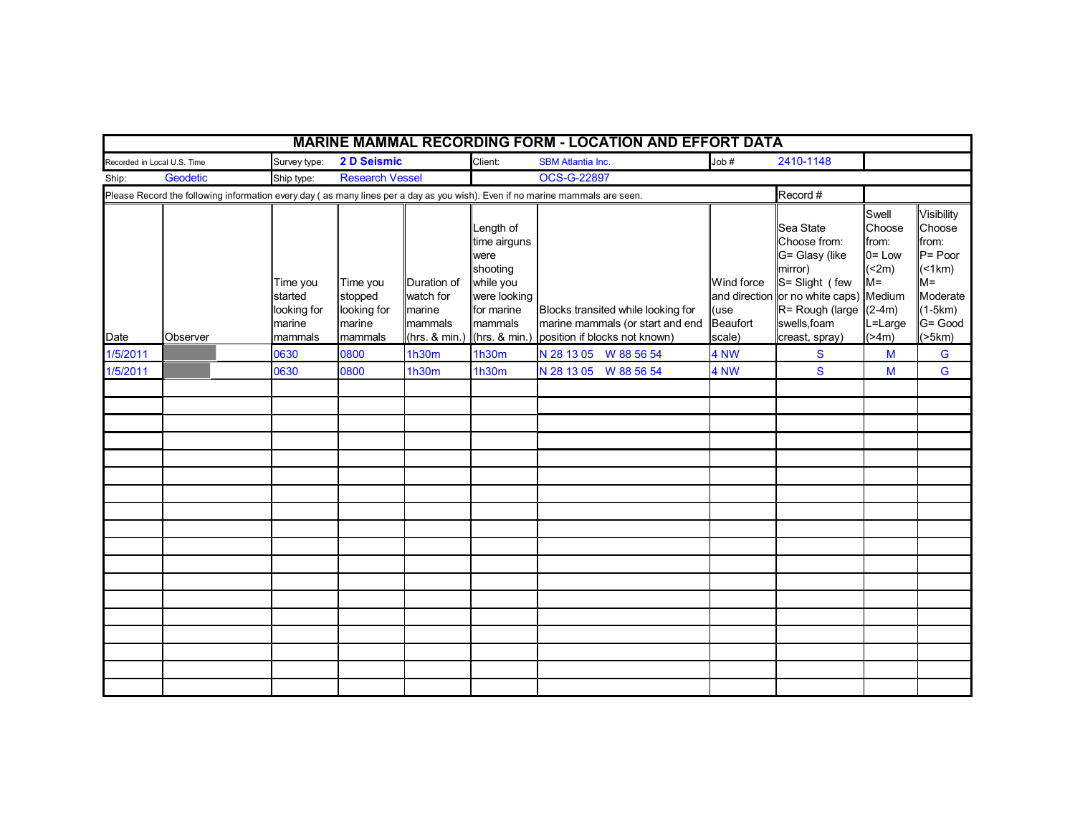|                                                                                                                              | <b>MARINE MAMMAL RECORDING FORM - LOCATION AND EFFORT DATA</b> |  |                                                         |                                                         |                                               |                                                                                                                                      |                                                                                                         |                                          |                                                                                                                                                                                     |                                                                            |                                                                                                         |  |
|------------------------------------------------------------------------------------------------------------------------------|----------------------------------------------------------------|--|---------------------------------------------------------|---------------------------------------------------------|-----------------------------------------------|--------------------------------------------------------------------------------------------------------------------------------------|---------------------------------------------------------------------------------------------------------|------------------------------------------|-------------------------------------------------------------------------------------------------------------------------------------------------------------------------------------|----------------------------------------------------------------------------|---------------------------------------------------------------------------------------------------------|--|
| Recorded in Local U.S. Time                                                                                                  |                                                                |  | Survey type:                                            | 2 D Seismic                                             |                                               | Client:                                                                                                                              | <b>SBM Atlantia Inc.</b>                                                                                | Job#                                     | 2410-1148                                                                                                                                                                           |                                                                            |                                                                                                         |  |
| Geodetic<br><b>Research Vessel</b><br>Ship:<br>Ship type:                                                                    |                                                                |  |                                                         | <b>OCS-G-22897</b>                                      |                                               |                                                                                                                                      |                                                                                                         |                                          |                                                                                                                                                                                     |                                                                            |                                                                                                         |  |
| Please Record the following information every day (as many lines per a day as you wish). Even if no marine mammals are seen. |                                                                |  |                                                         |                                                         |                                               |                                                                                                                                      |                                                                                                         |                                          | Record #                                                                                                                                                                            |                                                                            |                                                                                                         |  |
| Date                                                                                                                         | Observer                                                       |  | Time you<br>started<br>looking for<br>marine<br>mammals | Time you<br>stopped<br>looking for<br>marine<br>mammals | Duration of<br>watch for<br>marine<br>mammals | Length of<br>time airguns<br>were<br>shooting<br>while you<br>were looking<br>for marine<br>mammals<br>$(hrs. & min.)$ (hrs. & min.) | Blocks transited while looking for<br>marine mammals (or start and end<br>position if blocks not known) | Wind force<br>(use<br>Beaufort<br>scale) | Sea State<br>Choose from:<br>G= Glasy (like<br>mirror)<br>S= Slight (few<br>and direction or no white caps) Medium<br>$R =$ Rough (large $(2-4m)$<br>swells, foam<br>creast, spray) | Swell<br>Choose<br>from:<br>$0 = Low$<br>(2m)<br>$M =$<br>L=Large<br>(>4m) | Visibility<br>Choose<br>from:<br>$P = Poor$<br>(<br>$M =$<br>Moderate<br>$(1-5km)$<br>G= Good<br>(>5km) |  |
| 1/5/2011                                                                                                                     |                                                                |  | 0630                                                    | 0800                                                    | 1h30m                                         | <b>1h30m</b>                                                                                                                         | N 28 13 05 W 88 56 54                                                                                   | 4 NW                                     | S                                                                                                                                                                                   | M                                                                          | G                                                                                                       |  |
| 1/5/2011                                                                                                                     |                                                                |  | 0630                                                    | 0800                                                    | 1h30m                                         | 1h30m                                                                                                                                | N 28 13 05 W 88 56 54                                                                                   | 4 NW                                     | S                                                                                                                                                                                   | M                                                                          | G                                                                                                       |  |
|                                                                                                                              |                                                                |  |                                                         |                                                         |                                               |                                                                                                                                      |                                                                                                         |                                          |                                                                                                                                                                                     |                                                                            |                                                                                                         |  |
|                                                                                                                              |                                                                |  |                                                         |                                                         |                                               |                                                                                                                                      |                                                                                                         |                                          |                                                                                                                                                                                     |                                                                            |                                                                                                         |  |
|                                                                                                                              |                                                                |  |                                                         |                                                         |                                               |                                                                                                                                      |                                                                                                         |                                          |                                                                                                                                                                                     |                                                                            |                                                                                                         |  |
|                                                                                                                              |                                                                |  |                                                         |                                                         |                                               |                                                                                                                                      |                                                                                                         |                                          |                                                                                                                                                                                     |                                                                            |                                                                                                         |  |
|                                                                                                                              |                                                                |  |                                                         |                                                         |                                               |                                                                                                                                      |                                                                                                         |                                          |                                                                                                                                                                                     |                                                                            |                                                                                                         |  |
|                                                                                                                              |                                                                |  |                                                         |                                                         |                                               |                                                                                                                                      |                                                                                                         |                                          |                                                                                                                                                                                     |                                                                            |                                                                                                         |  |
|                                                                                                                              |                                                                |  |                                                         |                                                         |                                               |                                                                                                                                      |                                                                                                         |                                          |                                                                                                                                                                                     |                                                                            |                                                                                                         |  |
|                                                                                                                              |                                                                |  |                                                         |                                                         |                                               |                                                                                                                                      |                                                                                                         |                                          |                                                                                                                                                                                     |                                                                            |                                                                                                         |  |
|                                                                                                                              |                                                                |  |                                                         |                                                         |                                               |                                                                                                                                      |                                                                                                         |                                          |                                                                                                                                                                                     |                                                                            |                                                                                                         |  |
|                                                                                                                              |                                                                |  |                                                         |                                                         |                                               |                                                                                                                                      |                                                                                                         |                                          |                                                                                                                                                                                     |                                                                            |                                                                                                         |  |
|                                                                                                                              |                                                                |  |                                                         |                                                         |                                               |                                                                                                                                      |                                                                                                         |                                          |                                                                                                                                                                                     |                                                                            |                                                                                                         |  |
|                                                                                                                              |                                                                |  |                                                         |                                                         |                                               |                                                                                                                                      |                                                                                                         |                                          |                                                                                                                                                                                     |                                                                            |                                                                                                         |  |
|                                                                                                                              |                                                                |  |                                                         |                                                         |                                               |                                                                                                                                      |                                                                                                         |                                          |                                                                                                                                                                                     |                                                                            |                                                                                                         |  |
|                                                                                                                              |                                                                |  |                                                         |                                                         |                                               |                                                                                                                                      |                                                                                                         |                                          |                                                                                                                                                                                     |                                                                            |                                                                                                         |  |
|                                                                                                                              |                                                                |  |                                                         |                                                         |                                               |                                                                                                                                      |                                                                                                         |                                          |                                                                                                                                                                                     |                                                                            |                                                                                                         |  |
|                                                                                                                              |                                                                |  |                                                         |                                                         |                                               |                                                                                                                                      |                                                                                                         |                                          |                                                                                                                                                                                     |                                                                            |                                                                                                         |  |
|                                                                                                                              |                                                                |  |                                                         |                                                         |                                               |                                                                                                                                      |                                                                                                         |                                          |                                                                                                                                                                                     |                                                                            |                                                                                                         |  |
|                                                                                                                              |                                                                |  |                                                         |                                                         |                                               |                                                                                                                                      |                                                                                                         |                                          |                                                                                                                                                                                     |                                                                            |                                                                                                         |  |